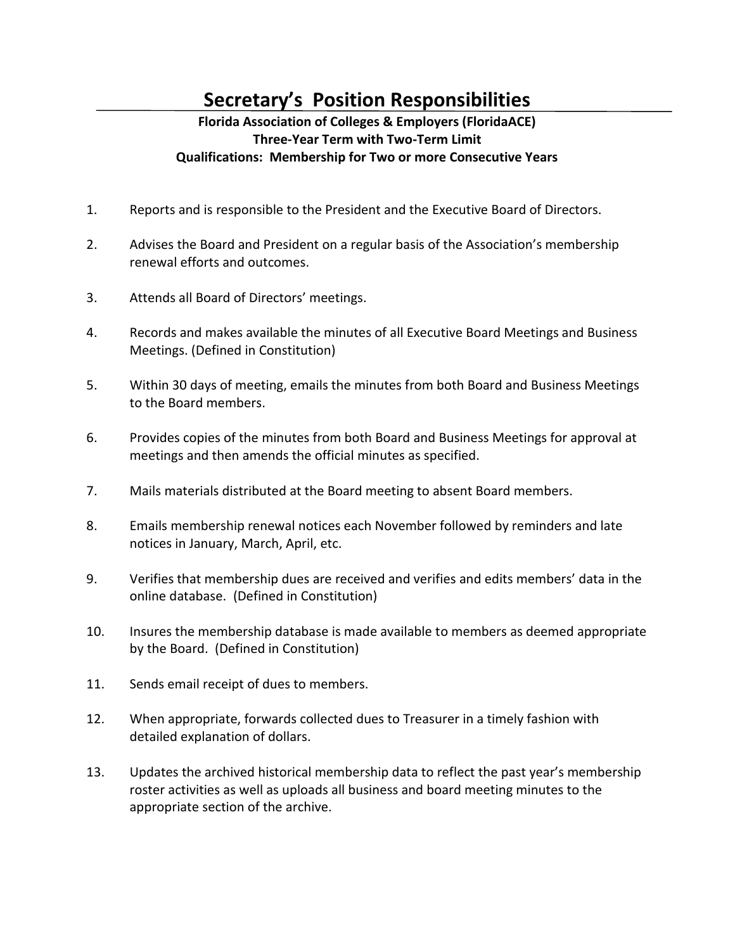## **Secretary's Position Responsibilities**

## **Florida Association of Colleges & Employers (FloridaACE) Three-Year Term with Two-Term Limit Qualifications: Membership for Two or more Consecutive Years**

- 1. Reports and is responsible to the President and the Executive Board of Directors.
- 2. Advises the Board and President on a regular basis of the Association's membership renewal efforts and outcomes.
- 3. Attends all Board of Directors' meetings.
- 4. Records and makes available the minutes of all Executive Board Meetings and Business Meetings. (Defined in Constitution)
- 5. Within 30 days of meeting, emails the minutes from both Board and Business Meetings to the Board members.
- 6. Provides copies of the minutes from both Board and Business Meetings for approval at meetings and then amends the official minutes as specified.
- 7. Mails materials distributed at the Board meeting to absent Board members.
- 8. Emails membership renewal notices each November followed by reminders and late notices in January, March, April, etc.
- 9. Verifies that membership dues are received and verifies and edits members' data in the online database. (Defined in Constitution)
- 10. Insures the membership database is made available to members as deemed appropriate by the Board. (Defined in Constitution)
- 11. Sends email receipt of dues to members.
- 12. When appropriate, forwards collected dues to Treasurer in a timely fashion with detailed explanation of dollars.
- 13. Updates the archived historical membership data to reflect the past year's membership roster activities as well as uploads all business and board meeting minutes to the appropriate section of the archive.